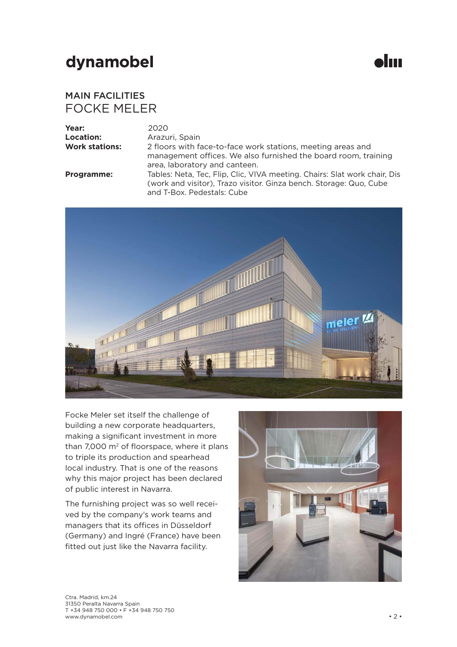**slun** 

#### FOCKE MELER MAIN FACILITIES

| Year:                 | 2020   |
|-----------------------|--------|
| Location:             | Arazu  |
| <b>Work stations:</b> | 2 floc |

**Location:** Arazuri, Spain 2 floors with face-to-face work stations, meeting areas and management offices. We also furnished the board room, training area, laboratory and canteen. **Programme:** Tables: Neta, Tec, Flip, Clic, VIVA meeting. Chairs: Slat work chair, Dis (work and visitor), Trazo visitor. Ginza bench. Storage: Quo, Cube and T-Box. Pedestals: Cube



Focke Meler set itself the challenge of building a new corporate headquarters, making a significant investment in more than 7,000  $m<sup>2</sup>$  of floorspace, where it plans to triple its production and spearhead local industry. That is one of the reasons why this major project has been declared of public interest in Navarra.

The furnishing project was so well received by the company's work teams and managers that its offices in Düsseldorf (Germany) and Ingré (France) have been fitted out just like the Navarra facility.

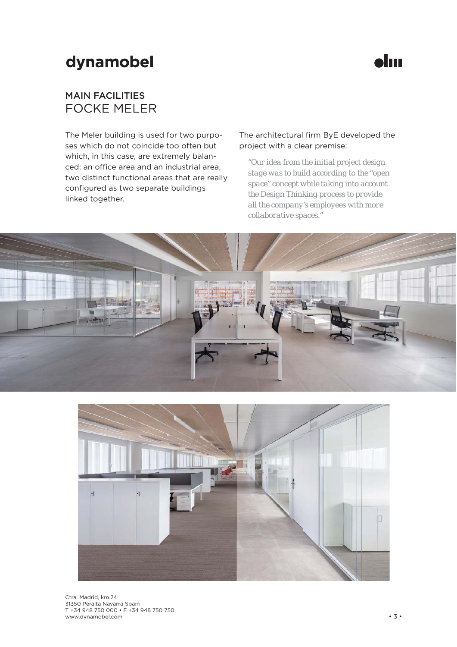

#### FOCKE MELER MAIN FACILITIES

The Meler building is used for two purposes which do not coincide too often but which, in this case, are extremely balanced: an office area and an industrial area, two distinct functional areas that are really configured as two separate buildings linked together.

#### The architectural firm ByE developed the project with a clear premise:

*"Our idea from the initial project design stage was to build according to the "open space" concept while taking into account the Design Thinking process to provide all the company's employees with more collaborative spaces."*



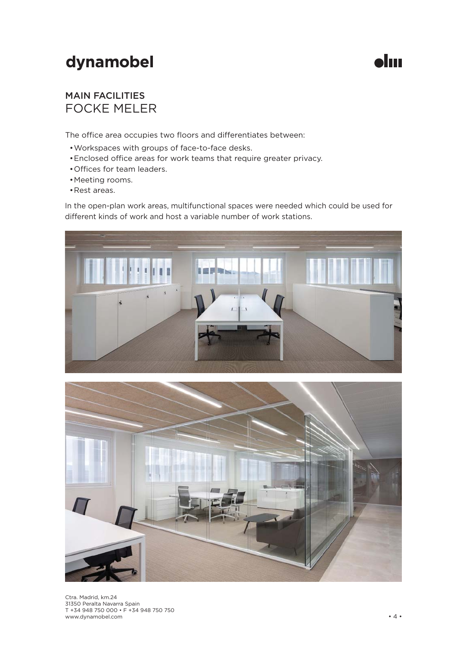

#### FOCKE MELER MAIN FACILITIES

The office area occupies two floors and differentiates between:

- Workspaces with groups of face-to-face desks.
- Enclosed office areas for work teams that require greater privacy.
- Offices for team leaders.
- Meeting rooms.
- Rest areas.

In the open-plan work areas, multifunctional spaces were needed which could be used for different kinds of work and host a variable number of work stations.



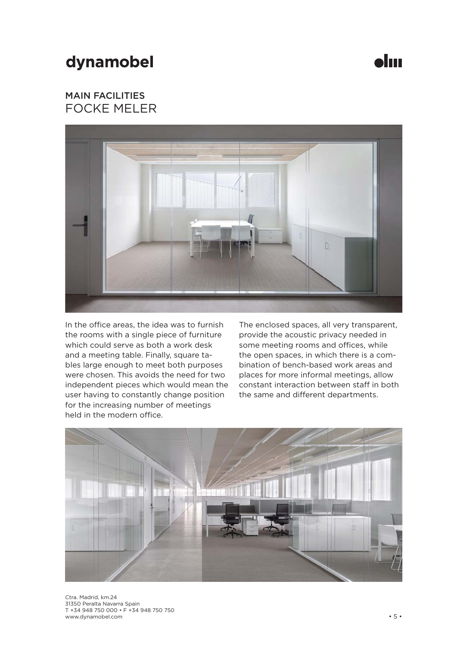

### FOCKE MELER MAIN FACILITIES



In the office areas, the idea was to furnish the rooms with a single piece of furniture which could serve as both a work desk and a meeting table. Finally, square tables large enough to meet both purposes were chosen. This avoids the need for two independent pieces which would mean the user having to constantly change position for the increasing number of meetings held in the modern office.

The enclosed spaces, all very transparent, provide the acoustic privacy needed in some meeting rooms and offices, while the open spaces, in which there is a combination of bench-based work areas and places for more informal meetings, allow constant interaction between staff in both the same and different departments.

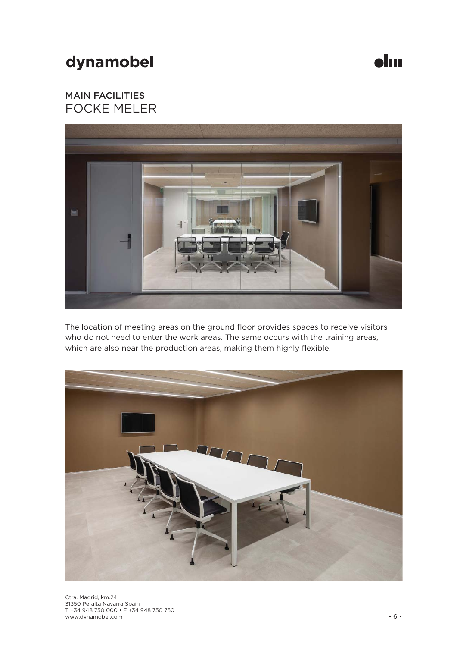$\bullet$ lın

### FOCKE MELER MAIN FACILITIES



The location of meeting areas on the ground floor provides spaces to receive visitors who do not need to enter the work areas. The same occurs with the training areas, which are also near the production areas, making them highly flexible.



Ctra. Madrid, km.24 31350 Peralta Navarra Spain T +34 948 750 000 • F +34 948 750 750 www.dynamobel.com